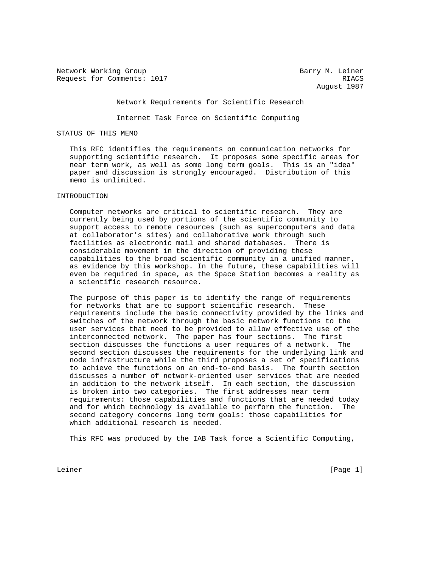Network Working Group and Barry M. Leiner Request for Comments: 1017 RIACS

August 1987

## Network Requirements for Scientific Research

Internet Task Force on Scientific Computing

### STATUS OF THIS MEMO

 This RFC identifies the requirements on communication networks for supporting scientific research. It proposes some specific areas for near term work, as well as some long term goals. This is an "idea" paper and discussion is strongly encouraged. Distribution of this memo is unlimited.

# INTRODUCTION

 Computer networks are critical to scientific research. They are currently being used by portions of the scientific community to support access to remote resources (such as supercomputers and data at collaborator's sites) and collaborative work through such facilities as electronic mail and shared databases. There is considerable movement in the direction of providing these capabilities to the broad scientific community in a unified manner, as evidence by this workshop. In the future, these capabilities will even be required in space, as the Space Station becomes a reality as a scientific research resource.

 The purpose of this paper is to identify the range of requirements for networks that are to support scientific research. These requirements include the basic connectivity provided by the links and switches of the network through the basic network functions to the user services that need to be provided to allow effective use of the interconnected network. The paper has four sections. The first section discusses the functions a user requires of a network. The second section discusses the requirements for the underlying link and node infrastructure while the third proposes a set of specifications to achieve the functions on an end-to-end basis. The fourth section discusses a number of network-oriented user services that are needed in addition to the network itself. In each section, the discussion is broken into two categories. The first addresses near term requirements: those capabilities and functions that are needed today and for which technology is available to perform the function. The second category concerns long term goals: those capabilities for which additional research is needed.

This RFC was produced by the IAB Task force a Scientific Computing,

Leiner [Page 1]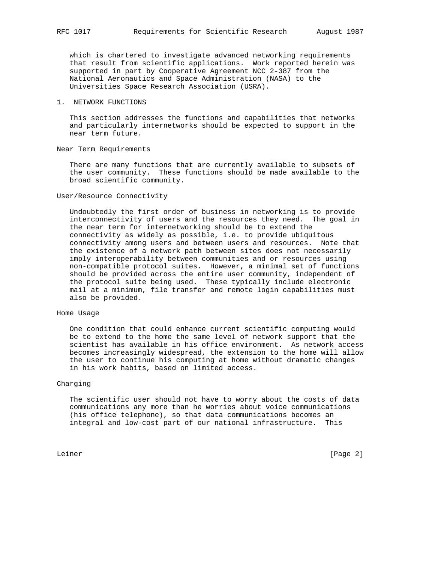which is chartered to investigate advanced networking requirements that result from scientific applications. Work reported herein was supported in part by Cooperative Agreement NCC 2-387 from the National Aeronautics and Space Administration (NASA) to the Universities Space Research Association (USRA).

## 1. NETWORK FUNCTIONS

 This section addresses the functions and capabilities that networks and particularly internetworks should be expected to support in the near term future.

## Near Term Requirements

 There are many functions that are currently available to subsets of the user community. These functions should be made available to the broad scientific community.

### User/Resource Connectivity

 Undoubtedly the first order of business in networking is to provide interconnectivity of users and the resources they need. The goal in the near term for internetworking should be to extend the connectivity as widely as possible, i.e. to provide ubiquitous connectivity among users and between users and resources. Note that the existence of a network path between sites does not necessarily imply interoperability between communities and or resources using non-compatible protocol suites. However, a minimal set of functions should be provided across the entire user community, independent of the protocol suite being used. These typically include electronic mail at a minimum, file transfer and remote login capabilities must also be provided.

# Home Usage

 One condition that could enhance current scientific computing would be to extend to the home the same level of network support that the scientist has available in his office environment. As network access becomes increasingly widespread, the extension to the home will allow the user to continue his computing at home without dramatic changes in his work habits, based on limited access.

#### Charging

 The scientific user should not have to worry about the costs of data communications any more than he worries about voice communications (his office telephone), so that data communications becomes an integral and low-cost part of our national infrastructure. This

Leiner [Page 2]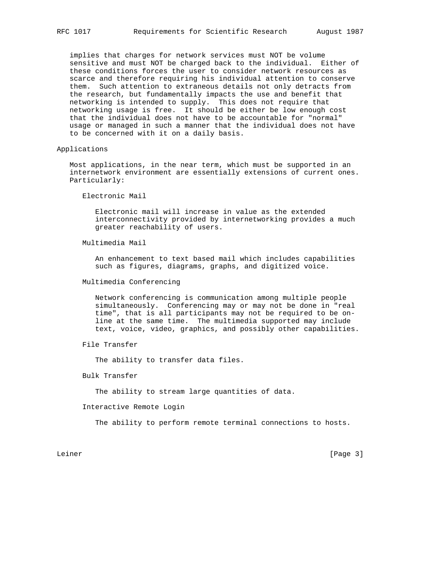implies that charges for network services must NOT be volume sensitive and must NOT be charged back to the individual. Either of these conditions forces the user to consider network resources as scarce and therefore requiring his individual attention to conserve them. Such attention to extraneous details not only detracts from the research, but fundamentally impacts the use and benefit that networking is intended to supply. This does not require that networking usage is free. It should be either be low enough cost that the individual does not have to be accountable for "normal" usage or managed in such a manner that the individual does not have to be concerned with it on a daily basis.

Applications

 Most applications, in the near term, which must be supported in an internetwork environment are essentially extensions of current ones. Particularly:

Electronic Mail

 Electronic mail will increase in value as the extended interconnectivity provided by internetworking provides a much greater reachability of users.

Multimedia Mail

 An enhancement to text based mail which includes capabilities such as figures, diagrams, graphs, and digitized voice.

Multimedia Conferencing

 Network conferencing is communication among multiple people simultaneously. Conferencing may or may not be done in "real time", that is all participants may not be required to be on line at the same time. The multimedia supported may include text, voice, video, graphics, and possibly other capabilities.

File Transfer

The ability to transfer data files.

Bulk Transfer

The ability to stream large quantities of data.

Interactive Remote Login

The ability to perform remote terminal connections to hosts.

Leiner [Page 3]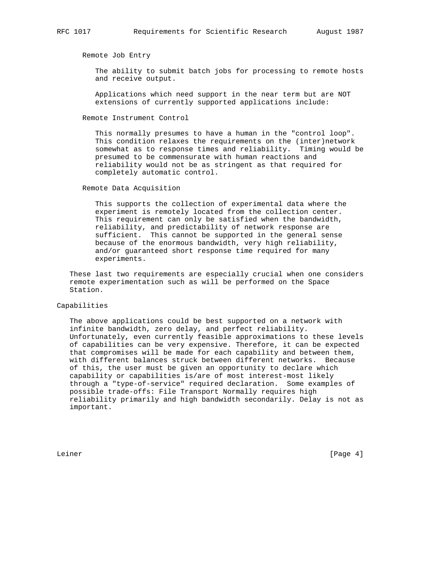Remote Job Entry

 The ability to submit batch jobs for processing to remote hosts and receive output.

 Applications which need support in the near term but are NOT extensions of currently supported applications include:

Remote Instrument Control

 This normally presumes to have a human in the "control loop". This condition relaxes the requirements on the (inter)network somewhat as to response times and reliability. Timing would be presumed to be commensurate with human reactions and reliability would not be as stringent as that required for completely automatic control.

Remote Data Acquisition

 This supports the collection of experimental data where the experiment is remotely located from the collection center. This requirement can only be satisfied when the bandwidth, reliability, and predictability of network response are sufficient. This cannot be supported in the general sense because of the enormous bandwidth, very high reliability, and/or guaranteed short response time required for many experiments.

 These last two requirements are especially crucial when one considers remote experimentation such as will be performed on the Space Station.

#### Capabilities

 The above applications could be best supported on a network with infinite bandwidth, zero delay, and perfect reliability. Unfortunately, even currently feasible approximations to these levels of capabilities can be very expensive. Therefore, it can be expected that compromises will be made for each capability and between them, with different balances struck between different networks. Because of this, the user must be given an opportunity to declare which capability or capabilities is/are of most interest-most likely through a "type-of-service" required declaration. Some examples of possible trade-offs: File Transport Normally requires high reliability primarily and high bandwidth secondarily. Delay is not as important.

Leiner [Page 4]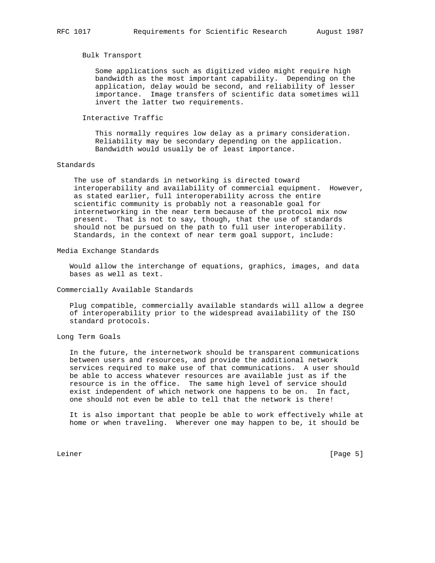## Bulk Transport

 Some applications such as digitized video might require high bandwidth as the most important capability. Depending on the application, delay would be second, and reliability of lesser importance. Image transfers of scientific data sometimes will invert the latter two requirements.

### Interactive Traffic

 This normally requires low delay as a primary consideration. Reliability may be secondary depending on the application. Bandwidth would usually be of least importance.

#### Standards

 The use of standards in networking is directed toward interoperability and availability of commercial equipment. However, as stated earlier, full interoperability across the entire scientific community is probably not a reasonable goal for internetworking in the near term because of the protocol mix now present. That is not to say, though, that the use of standards should not be pursued on the path to full user interoperability. Standards, in the context of near term goal support, include:

#### Media Exchange Standards

 Would allow the interchange of equations, graphics, images, and data bases as well as text.

### Commercially Available Standards

 Plug compatible, commercially available standards will allow a degree of interoperability prior to the widespread availability of the ISO standard protocols.

Long Term Goals

 In the future, the internetwork should be transparent communications between users and resources, and provide the additional network services required to make use of that communications. A user should be able to access whatever resources are available just as if the resource is in the office. The same high level of service should exist independent of which network one happens to be on. In fact, one should not even be able to tell that the network is there!

 It is also important that people be able to work effectively while at home or when traveling. Wherever one may happen to be, it should be

Leiner [Page 5]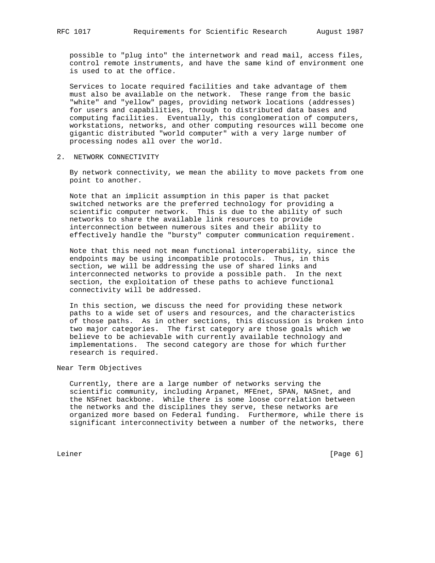possible to "plug into" the internetwork and read mail, access files, control remote instruments, and have the same kind of environment one is used to at the office.

 Services to locate required facilities and take advantage of them must also be available on the network. These range from the basic "white" and "yellow" pages, providing network locations (addresses) for users and capabilities, through to distributed data bases and computing facilities. Eventually, this conglomeration of computers, workstations, networks, and other computing resources will become one gigantic distributed "world computer" with a very large number of processing nodes all over the world.

2. NETWORK CONNECTIVITY

 By network connectivity, we mean the ability to move packets from one point to another.

 Note that an implicit assumption in this paper is that packet switched networks are the preferred technology for providing a scientific computer network. This is due to the ability of such networks to share the available link resources to provide interconnection between numerous sites and their ability to effectively handle the "bursty" computer communication requirement.

 Note that this need not mean functional interoperability, since the endpoints may be using incompatible protocols. Thus, in this section, we will be addressing the use of shared links and interconnected networks to provide a possible path. In the next section, the exploitation of these paths to achieve functional connectivity will be addressed.

 In this section, we discuss the need for providing these network paths to a wide set of users and resources, and the characteristics of those paths. As in other sections, this discussion is broken into two major categories. The first category are those goals which we believe to be achievable with currently available technology and implementations. The second category are those for which further research is required.

Near Term Objectives

 Currently, there are a large number of networks serving the scientific community, including Arpanet, MFEnet, SPAN, NASnet, and the NSFnet backbone. While there is some loose correlation between the networks and the disciplines they serve, these networks are organized more based on Federal funding. Furthermore, while there is significant interconnectivity between a number of the networks, there

Leiner [Page 6]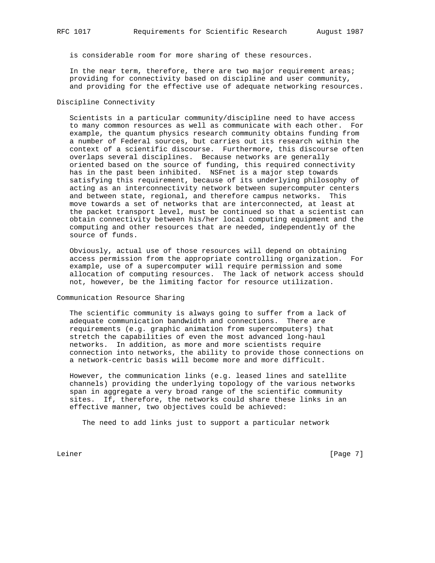is considerable room for more sharing of these resources.

 In the near term, therefore, there are two major requirement areas; providing for connectivity based on discipline and user community, and providing for the effective use of adequate networking resources.

## Discipline Connectivity

 Scientists in a particular community/discipline need to have access to many common resources as well as communicate with each other. For example, the quantum physics research community obtains funding from a number of Federal sources, but carries out its research within the context of a scientific discourse. Furthermore, this discourse often overlaps several disciplines. Because networks are generally oriented based on the source of funding, this required connectivity has in the past been inhibited. NSFnet is a major step towards satisfying this requirement, because of its underlying philosophy of acting as an interconnectivity network between supercomputer centers and between state, regional, and therefore campus networks. This move towards a set of networks that are interconnected, at least at the packet transport level, must be continued so that a scientist can obtain connectivity between his/her local computing equipment and the computing and other resources that are needed, independently of the source of funds.

 Obviously, actual use of those resources will depend on obtaining access permission from the appropriate controlling organization. For example, use of a supercomputer will require permission and some allocation of computing resources. The lack of network access should not, however, be the limiting factor for resource utilization.

Communication Resource Sharing

 The scientific community is always going to suffer from a lack of adequate communication bandwidth and connections. There are requirements (e.g. graphic animation from supercomputers) that stretch the capabilities of even the most advanced long-haul networks. In addition, as more and more scientists require connection into networks, the ability to provide those connections on a network-centric basis will become more and more difficult.

 However, the communication links (e.g. leased lines and satellite channels) providing the underlying topology of the various networks span in aggregate a very broad range of the scientific community sites. If, therefore, the networks could share these links in an effective manner, two objectives could be achieved:

The need to add links just to support a particular network

Leiner [Page 7]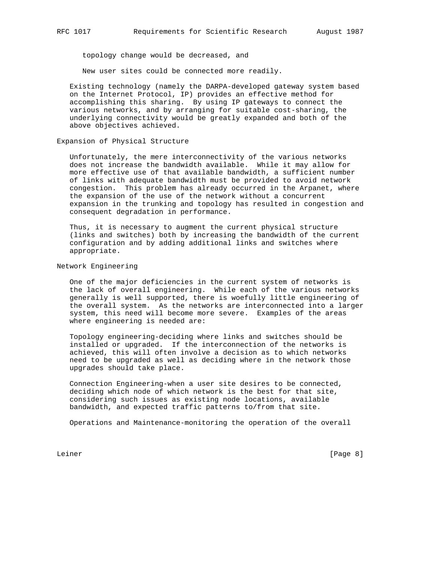topology change would be decreased, and

New user sites could be connected more readily.

 Existing technology (namely the DARPA-developed gateway system based on the Internet Protocol, IP) provides an effective method for accomplishing this sharing. By using IP gateways to connect the various networks, and by arranging for suitable cost-sharing, the underlying connectivity would be greatly expanded and both of the above objectives achieved.

Expansion of Physical Structure

 Unfortunately, the mere interconnectivity of the various networks does not increase the bandwidth available. While it may allow for more effective use of that available bandwidth, a sufficient number of links with adequate bandwidth must be provided to avoid network congestion. This problem has already occurred in the Arpanet, where the expansion of the use of the network without a concurrent expansion in the trunking and topology has resulted in congestion and consequent degradation in performance.

 Thus, it is necessary to augment the current physical structure (links and switches) both by increasing the bandwidth of the current configuration and by adding additional links and switches where appropriate.

Network Engineering

 One of the major deficiencies in the current system of networks is the lack of overall engineering. While each of the various networks generally is well supported, there is woefully little engineering of the overall system. As the networks are interconnected into a larger system, this need will become more severe. Examples of the areas where engineering is needed are:

 Topology engineering-deciding where links and switches should be installed or upgraded. If the interconnection of the networks is achieved, this will often involve a decision as to which networks need to be upgraded as well as deciding where in the network those upgrades should take place.

 Connection Engineering-when a user site desires to be connected, deciding which node of which network is the best for that site, considering such issues as existing node locations, available bandwidth, and expected traffic patterns to/from that site.

Operations and Maintenance-monitoring the operation of the overall

Leiner [Page 8]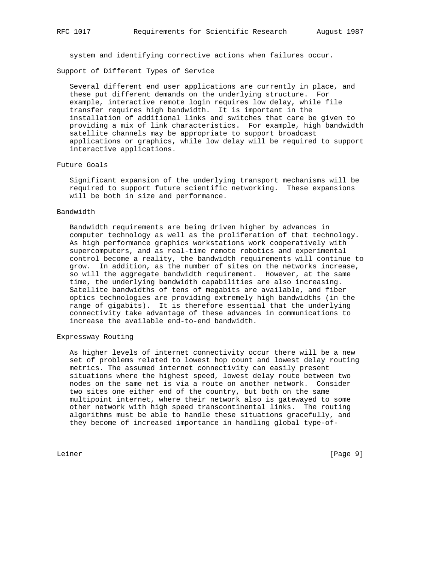system and identifying corrective actions when failures occur.

Support of Different Types of Service

 Several different end user applications are currently in place, and these put different demands on the underlying structure. For example, interactive remote login requires low delay, while file transfer requires high bandwidth. It is important in the installation of additional links and switches that care be given to providing a mix of link characteristics. For example, high bandwidth satellite channels may be appropriate to support broadcast applications or graphics, while low delay will be required to support interactive applications.

### Future Goals

 Significant expansion of the underlying transport mechanisms will be required to support future scientific networking. These expansions will be both in size and performance.

#### Bandwidth

 Bandwidth requirements are being driven higher by advances in computer technology as well as the proliferation of that technology. As high performance graphics workstations work cooperatively with supercomputers, and as real-time remote robotics and experimental control become a reality, the bandwidth requirements will continue to grow. In addition, as the number of sites on the networks increase, so will the aggregate bandwidth requirement. However, at the same time, the underlying bandwidth capabilities are also increasing. Satellite bandwidths of tens of megabits are available, and fiber optics technologies are providing extremely high bandwidths (in the range of gigabits). It is therefore essential that the underlying connectivity take advantage of these advances in communications to increase the available end-to-end bandwidth.

# Expressway Routing

 As higher levels of internet connectivity occur there will be a new set of problems related to lowest hop count and lowest delay routing metrics. The assumed internet connectivity can easily present situations where the highest speed, lowest delay route between two nodes on the same net is via a route on another network. Consider two sites one either end of the country, but both on the same multipoint internet, where their network also is gatewayed to some other network with high speed transcontinental links. The routing algorithms must be able to handle these situations gracefully, and they become of increased importance in handling global type-of-

Leiner [Page 9]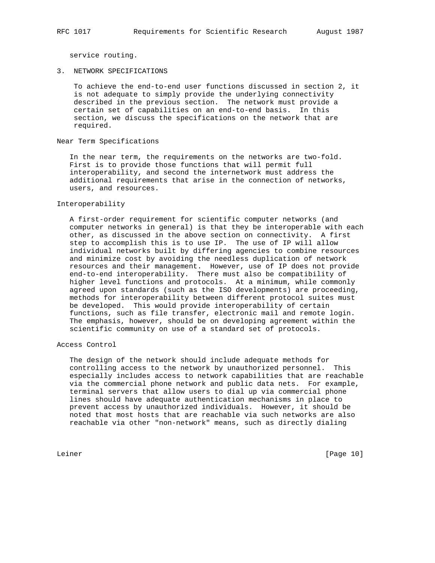service routing.

3. NETWORK SPECIFICATIONS

 To achieve the end-to-end user functions discussed in section 2, it is not adequate to simply provide the underlying connectivity described in the previous section. The network must provide a certain set of capabilities on an end-to-end basis. In this section, we discuss the specifications on the network that are required.

Near Term Specifications

 In the near term, the requirements on the networks are two-fold. First is to provide those functions that will permit full interoperability, and second the internetwork must address the additional requirements that arise in the connection of networks, users, and resources.

#### Interoperability

 A first-order requirement for scientific computer networks (and computer networks in general) is that they be interoperable with each other, as discussed in the above section on connectivity. A first step to accomplish this is to use IP. The use of IP will allow individual networks built by differing agencies to combine resources and minimize cost by avoiding the needless duplication of network resources and their management. However, use of IP does not provide end-to-end interoperability. There must also be compatibility of higher level functions and protocols. At a minimum, while commonly agreed upon standards (such as the ISO developments) are proceeding, methods for interoperability between different protocol suites must be developed. This would provide interoperability of certain functions, such as file transfer, electronic mail and remote login. The emphasis, however, should be on developing agreement within the scientific community on use of a standard set of protocols.

Access Control

 The design of the network should include adequate methods for controlling access to the network by unauthorized personnel. This especially includes access to network capabilities that are reachable via the commercial phone network and public data nets. For example, terminal servers that allow users to dial up via commercial phone lines should have adequate authentication mechanisms in place to prevent access by unauthorized individuals. However, it should be noted that most hosts that are reachable via such networks are also reachable via other "non-network" means, such as directly dialing

Leiner [Page 10]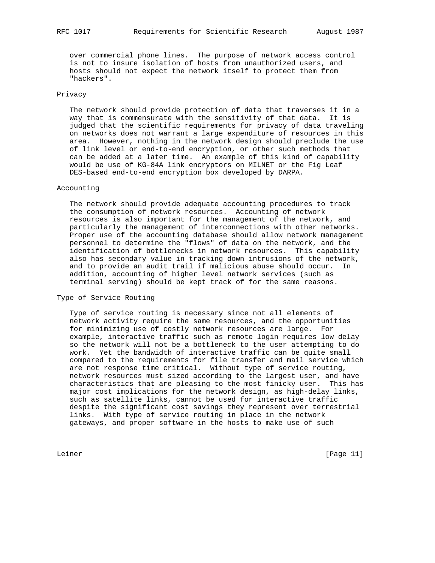over commercial phone lines. The purpose of network access control is not to insure isolation of hosts from unauthorized users, and hosts should not expect the network itself to protect them from "hackers".

# Privacy

 The network should provide protection of data that traverses it in a way that is commensurate with the sensitivity of that data. It is judged that the scientific requirements for privacy of data traveling on networks does not warrant a large expenditure of resources in this area. However, nothing in the network design should preclude the use of link level or end-to-end encryption, or other such methods that can be added at a later time. An example of this kind of capability would be use of KG-84A link encryptors on MILNET or the Fig Leaf DES-based end-to-end encryption box developed by DARPA.

## Accounting

 The network should provide adequate accounting procedures to track the consumption of network resources. Accounting of network resources is also important for the management of the network, and particularly the management of interconnections with other networks. Proper use of the accounting database should allow network management personnel to determine the "flows" of data on the network, and the identification of bottlenecks in network resources. This capability also has secondary value in tracking down intrusions of the network, and to provide an audit trail if malicious abuse should occur. In addition, accounting of higher level network services (such as terminal serving) should be kept track of for the same reasons.

# Type of Service Routing

 Type of service routing is necessary since not all elements of network activity require the same resources, and the opportunities for minimizing use of costly network resources are large. For example, interactive traffic such as remote login requires low delay so the network will not be a bottleneck to the user attempting to do work. Yet the bandwidth of interactive traffic can be quite small compared to the requirements for file transfer and mail service which are not response time critical. Without type of service routing, network resources must sized according to the largest user, and have characteristics that are pleasing to the most finicky user. This has major cost implications for the network design, as high-delay links, such as satellite links, cannot be used for interactive traffic despite the significant cost savings they represent over terrestrial links. With type of service routing in place in the network gateways, and proper software in the hosts to make use of such

Leiner [Page 11]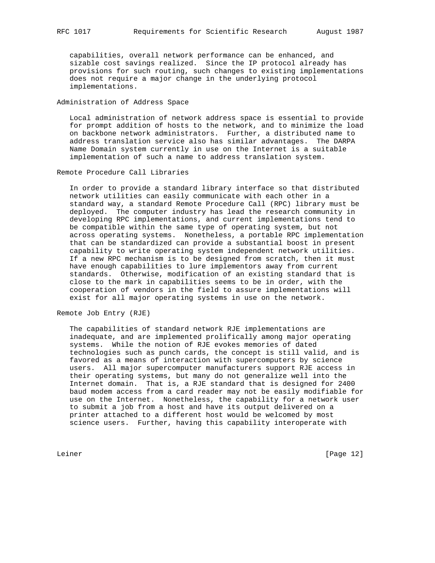capabilities, overall network performance can be enhanced, and sizable cost savings realized. Since the IP protocol already has provisions for such routing, such changes to existing implementations does not require a major change in the underlying protocol implementations.

# Administration of Address Space

 Local administration of network address space is essential to provide for prompt addition of hosts to the network, and to minimize the load on backbone network administrators. Further, a distributed name to address translation service also has similar advantages. The DARPA Name Domain system currently in use on the Internet is a suitable implementation of such a name to address translation system.

# Remote Procedure Call Libraries

 In order to provide a standard library interface so that distributed network utilities can easily communicate with each other in a standard way, a standard Remote Procedure Call (RPC) library must be deployed. The computer industry has lead the research community in developing RPC implementations, and current implementations tend to be compatible within the same type of operating system, but not across operating systems. Nonetheless, a portable RPC implementation that can be standardized can provide a substantial boost in present capability to write operating system independent network utilities. If a new RPC mechanism is to be designed from scratch, then it must have enough capabilities to lure implementors away from current standards. Otherwise, modification of an existing standard that is close to the mark in capabilities seems to be in order, with the cooperation of vendors in the field to assure implementations will exist for all major operating systems in use on the network.

Remote Job Entry (RJE)

 The capabilities of standard network RJE implementations are inadequate, and are implemented prolifically among major operating systems. While the notion of RJE evokes memories of dated technologies such as punch cards, the concept is still valid, and is favored as a means of interaction with supercomputers by science users. All major supercomputer manufacturers support RJE access in their operating systems, but many do not generalize well into the Internet domain. That is, a RJE standard that is designed for 2400 baud modem access from a card reader may not be easily modifiable for use on the Internet. Nonetheless, the capability for a network user to submit a job from a host and have its output delivered on a printer attached to a different host would be welcomed by most science users. Further, having this capability interoperate with

Leiner [Page 12]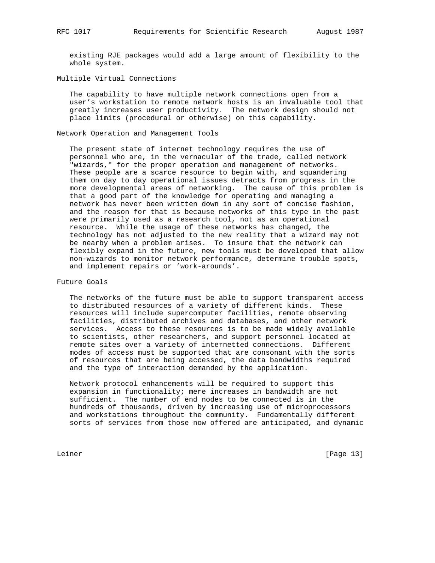existing RJE packages would add a large amount of flexibility to the whole system.

# Multiple Virtual Connections

 The capability to have multiple network connections open from a user's workstation to remote network hosts is an invaluable tool that greatly increases user productivity. The network design should not place limits (procedural or otherwise) on this capability.

Network Operation and Management Tools

 The present state of internet technology requires the use of personnel who are, in the vernacular of the trade, called network "wizards," for the proper operation and management of networks. These people are a scarce resource to begin with, and squandering them on day to day operational issues detracts from progress in the more developmental areas of networking. The cause of this problem is that a good part of the knowledge for operating and managing a network has never been written down in any sort of concise fashion, and the reason for that is because networks of this type in the past were primarily used as a research tool, not as an operational resource. While the usage of these networks has changed, the technology has not adjusted to the new reality that a wizard may not be nearby when a problem arises. To insure that the network can flexibly expand in the future, new tools must be developed that allow non-wizards to monitor network performance, determine trouble spots, and implement repairs or 'work-arounds'.

Future Goals

 The networks of the future must be able to support transparent access to distributed resources of a variety of different kinds. These resources will include supercomputer facilities, remote observing facilities, distributed archives and databases, and other network services. Access to these resources is to be made widely available to scientists, other researchers, and support personnel located at remote sites over a variety of internetted connections. Different modes of access must be supported that are consonant with the sorts of resources that are being accessed, the data bandwidths required and the type of interaction demanded by the application.

 Network protocol enhancements will be required to support this expansion in functionality; mere increases in bandwidth are not sufficient. The number of end nodes to be connected is in the hundreds of thousands, driven by increasing use of microprocessors and workstations throughout the community. Fundamentally different sorts of services from those now offered are anticipated, and dynamic

Leiner [Page 13]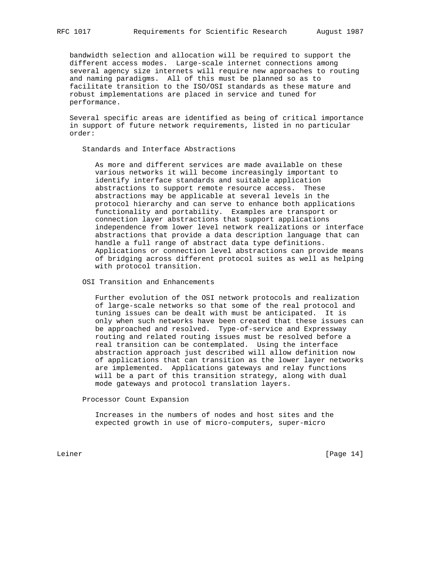bandwidth selection and allocation will be required to support the different access modes. Large-scale internet connections among several agency size internets will require new approaches to routing and naming paradigms. All of this must be planned so as to facilitate transition to the ISO/OSI standards as these mature and robust implementations are placed in service and tuned for performance.

 Several specific areas are identified as being of critical importance in support of future network requirements, listed in no particular order:

Standards and Interface Abstractions

 As more and different services are made available on these various networks it will become increasingly important to identify interface standards and suitable application abstractions to support remote resource access. These abstractions may be applicable at several levels in the protocol hierarchy and can serve to enhance both applications functionality and portability. Examples are transport or connection layer abstractions that support applications independence from lower level network realizations or interface abstractions that provide a data description language that can handle a full range of abstract data type definitions. Applications or connection level abstractions can provide means of bridging across different protocol suites as well as helping with protocol transition.

OSI Transition and Enhancements

 Further evolution of the OSI network protocols and realization of large-scale networks so that some of the real protocol and tuning issues can be dealt with must be anticipated. It is only when such networks have been created that these issues can be approached and resolved. Type-of-service and Expressway routing and related routing issues must be resolved before a real transition can be contemplated. Using the interface abstraction approach just described will allow definition now of applications that can transition as the lower layer networks are implemented. Applications gateways and relay functions will be a part of this transition strategy, along with dual mode gateways and protocol translation layers.

Processor Count Expansion

 Increases in the numbers of nodes and host sites and the expected growth in use of micro-computers, super-micro

Leiner [Page 14]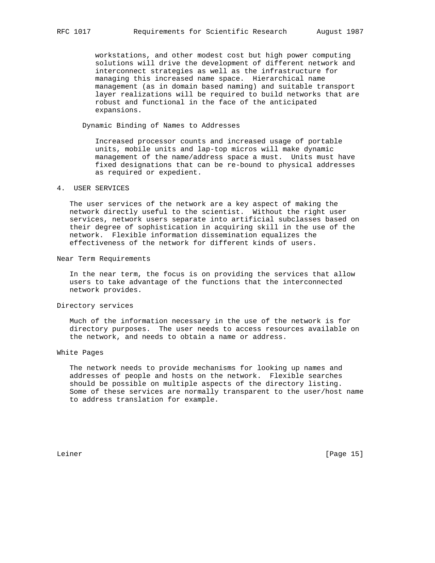workstations, and other modest cost but high power computing solutions will drive the development of different network and interconnect strategies as well as the infrastructure for managing this increased name space. Hierarchical name management (as in domain based naming) and suitable transport layer realizations will be required to build networks that are robust and functional in the face of the anticipated expansions.

Dynamic Binding of Names to Addresses

 Increased processor counts and increased usage of portable units, mobile units and lap-top micros will make dynamic management of the name/address space a must. Units must have fixed designations that can be re-bound to physical addresses as required or expedient.

# 4. USER SERVICES

 The user services of the network are a key aspect of making the network directly useful to the scientist. Without the right user services, network users separate into artificial subclasses based on their degree of sophistication in acquiring skill in the use of the network. Flexible information dissemination equalizes the effectiveness of the network for different kinds of users.

#### Near Term Requirements

 In the near term, the focus is on providing the services that allow users to take advantage of the functions that the interconnected network provides.

#### Directory services

 Much of the information necessary in the use of the network is for directory purposes. The user needs to access resources available on the network, and needs to obtain a name or address.

#### White Pages

 The network needs to provide mechanisms for looking up names and addresses of people and hosts on the network. Flexible searches should be possible on multiple aspects of the directory listing. Some of these services are normally transparent to the user/host name to address translation for example.

Leiner [Page 15]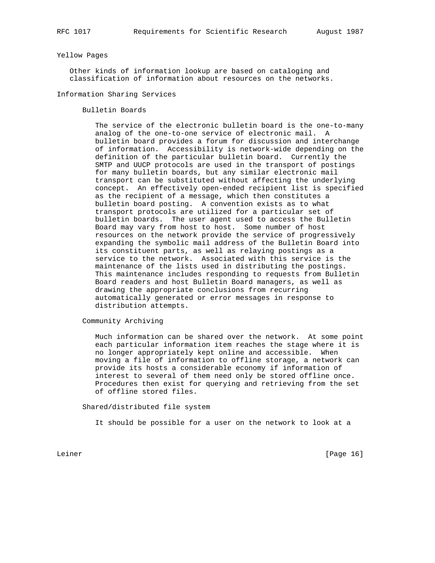### Yellow Pages

 Other kinds of information lookup are based on cataloging and classification of information about resources on the networks.

Information Sharing Services

Bulletin Boards

 The service of the electronic bulletin board is the one-to-many analog of the one-to-one service of electronic mail. A bulletin board provides a forum for discussion and interchange of information. Accessibility is network-wide depending on the definition of the particular bulletin board. Currently the SMTP and UUCP protocols are used in the transport of postings for many bulletin boards, but any similar electronic mail transport can be substituted without affecting the underlying concept. An effectively open-ended recipient list is specified as the recipient of a message, which then constitutes a bulletin board posting. A convention exists as to what transport protocols are utilized for a particular set of bulletin boards. The user agent used to access the Bulletin Board may vary from host to host. Some number of host resources on the network provide the service of progressively expanding the symbolic mail address of the Bulletin Board into its constituent parts, as well as relaying postings as a service to the network. Associated with this service is the maintenance of the lists used in distributing the postings. This maintenance includes responding to requests from Bulletin Board readers and host Bulletin Board managers, as well as drawing the appropriate conclusions from recurring automatically generated or error messages in response to distribution attempts.

Community Archiving

 Much information can be shared over the network. At some point each particular information item reaches the stage where it is no longer appropriately kept online and accessible. When moving a file of information to offline storage, a network can provide its hosts a considerable economy if information of interest to several of them need only be stored offline once. Procedures then exist for querying and retrieving from the set of offline stored files.

Shared/distributed file system

It should be possible for a user on the network to look at a

Leiner [Page 16]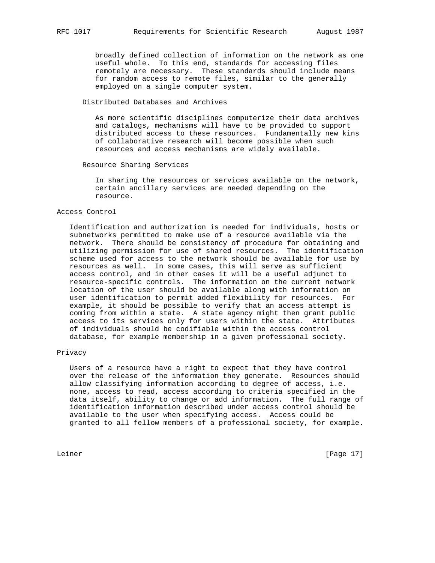broadly defined collection of information on the network as one useful whole. To this end, standards for accessing files remotely are necessary. These standards should include means for random access to remote files, similar to the generally employed on a single computer system.

# Distributed Databases and Archives

 As more scientific disciplines computerize their data archives and catalogs, mechanisms will have to be provided to support distributed access to these resources. Fundamentally new kins of collaborative research will become possible when such resources and access mechanisms are widely available.

Resource Sharing Services

 In sharing the resources or services available on the network, certain ancillary services are needed depending on the resource.

#### Access Control

 Identification and authorization is needed for individuals, hosts or subnetworks permitted to make use of a resource available via the network. There should be consistency of procedure for obtaining and utilizing permission for use of shared resources. The identification scheme used for access to the network should be available for use by resources as well. In some cases, this will serve as sufficient access control, and in other cases it will be a useful adjunct to resource-specific controls. The information on the current network location of the user should be available along with information on user identification to permit added flexibility for resources. For example, it should be possible to verify that an access attempt is coming from within a state. A state agency might then grant public access to its services only for users within the state. Attributes of individuals should be codifiable within the access control database, for example membership in a given professional society.

#### Privacy

 Users of a resource have a right to expect that they have control over the release of the information they generate. Resources should allow classifying information according to degree of access, i.e. none, access to read, access according to criteria specified in the data itself, ability to change or add information. The full range of identification information described under access control should be available to the user when specifying access. Access could be granted to all fellow members of a professional society, for example.

Leiner [Page 17]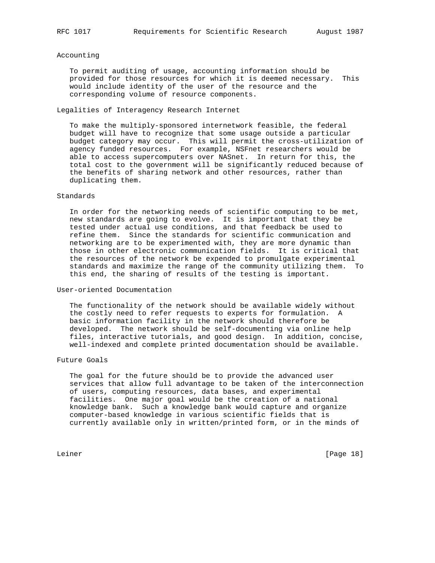#### Accounting

 To permit auditing of usage, accounting information should be provided for those resources for which it is deemed necessary. This would include identity of the user of the resource and the corresponding volume of resource components.

Legalities of Interagency Research Internet

 To make the multiply-sponsored internetwork feasible, the federal budget will have to recognize that some usage outside a particular budget category may occur. This will permit the cross-utilization of agency funded resources. For example, NSFnet researchers would be able to access supercomputers over NASnet. In return for this, the total cost to the government will be significantly reduced because of the benefits of sharing network and other resources, rather than duplicating them.

## Standards

 In order for the networking needs of scientific computing to be met, new standards are going to evolve. It is important that they be tested under actual use conditions, and that feedback be used to refine them. Since the standards for scientific communication and networking are to be experimented with, they are more dynamic than those in other electronic communication fields. It is critical that the resources of the network be expended to promulgate experimental standards and maximize the range of the community utilizing them. To this end, the sharing of results of the testing is important.

### User-oriented Documentation

 The functionality of the network should be available widely without the costly need to refer requests to experts for formulation. A basic information facility in the network should therefore be developed. The network should be self-documenting via online help files, interactive tutorials, and good design. In addition, concise, well-indexed and complete printed documentation should be available.

# Future Goals

 The goal for the future should be to provide the advanced user services that allow full advantage to be taken of the interconnection of users, computing resources, data bases, and experimental facilities. One major goal would be the creation of a national knowledge bank. Such a knowledge bank would capture and organize computer-based knowledge in various scientific fields that is currently available only in written/printed form, or in the minds of

Leiner [Page 18]